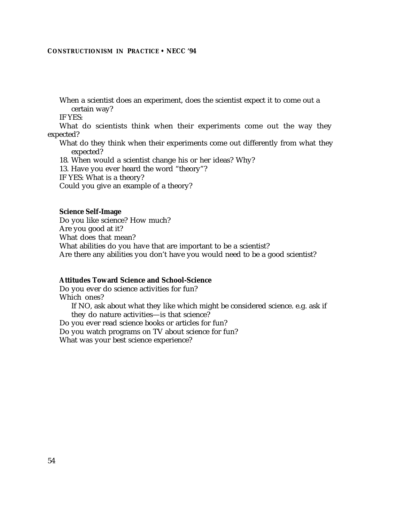When a scientist does an experiment, does the scientist expect it to come out a certain way?

IF YES:

What do scientists think when their experiments come out the way they expected?

What do they think when their experiments come out differently from what they expected?

18. When would a scientist change his or her ideas? Why?

13. Have you ever heard the word "theory"?

IF YES: What is a theory?

Could you give an example of a theory?

#### **Science Self-Image**

Do you like science? How much? Are you good at it? What does that mean? What abilities do you have that are important to be a scientist? Are there any abilities you don't have you would need to be a good scientist?

#### **Attitudes Toward Science and School-Science**

Do you ever do science activities for fun? Which ones? If NO, ask about what they like which might be considered science. e.g. ask if they do nature activities—is that science? Do you ever read science books or articles for fun? Do you watch programs on TV about science for fun? What was your best science experience?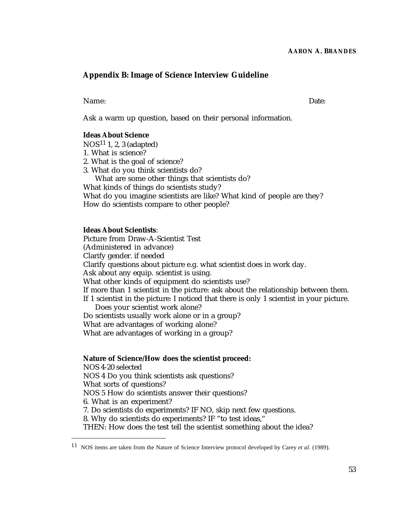# **Appendix B: Image of Science Interview Guideline**

Name: Date:

Ask a warm up question, based on their personal information.

#### **Ideas About Science**

NOS11 1, 2, 3 (adapted)

- 1. What is science?
- 2. What is the goal of science?
- 3. What do you think scientists do?
- What are some other things that scientists do?

What kinds of things do scientists study?

What do you imagine scientists are like? What kind of people are they? How do scientists compare to other people?

# **Ideas About Scientists**:

Picture from Draw-A-Scientist Test (Administered in advance) Clarify gender. if needed Clarify questions about picture e.g. what scientist does in work day. Ask about any equip. scientist is using. What other kinds of equipment do scientists use? If more than 1 scientist in the picture: ask about the relationship between them. If 1 scientist in the picture: I noticed that there is only 1 scientist in your picture. Does your scientist work alone? Do scientists usually work alone or in a group? What are advantages of working alone? What are advantages of working in a group?

# **Nature of Science/How does the scientist proceed:**

NOS 4-20 selected

NOS 4 Do you think scientists ask questions?

What sorts of questions?

NOS 5 How do scientists answer their questions?

6. What is an experiment?

7. Do scientists do experiments? IF NO, skip next few questions.

8. Why do scientists do experiments? IF "to test ideas,"

THEN: How does the test tell the scientist something about the idea?

<sup>11</sup> NOS items are taken from the Nature of Science Interview protocol developed by Carey *et al.* (1989).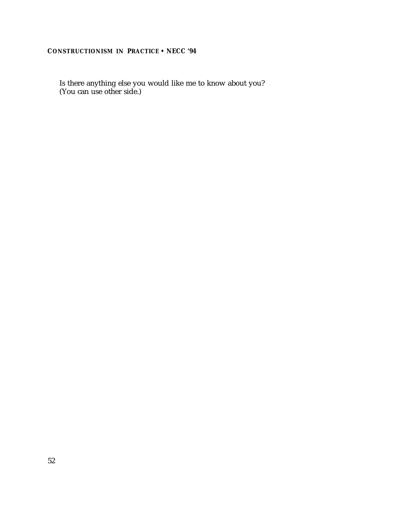Is there anything else you would like me to know about you? (You can use other side.)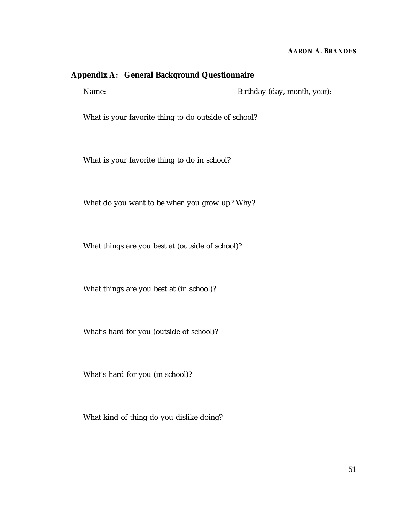## **AARON A. BRANDES**

# **Appendix A: General Background Questionnaire**

Name: Birthday (day, month, year):

What is your favorite thing to do outside of school?

What is your favorite thing to do in school?

What do you want to be when you grow up? Why?

What things are you best at (outside of school)?

What things are you best at (in school)?

What's hard for you (outside of school)?

What's hard for you (in school)?

What kind of thing do you dislike doing?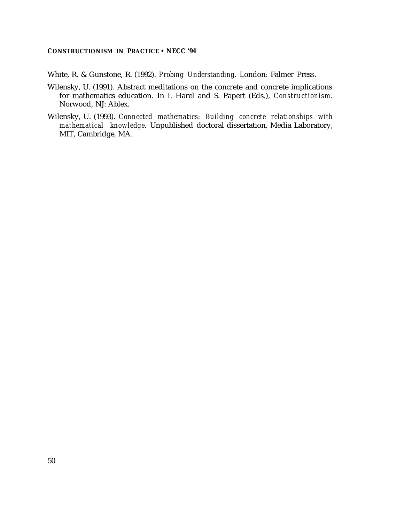White, R. & Gunstone, R. (1992). *Probing Understanding*. London: Falmer Press.

- Wilensky, U. (1991). Abstract meditations on the concrete and concrete implications for mathematics education. In I. Harel and S. Papert (Eds.), *Constructionism.* Norwood, NJ: Ablex.
- Wilensky, U. (1993). *Connected mathematics: Building concrete relationships with mathematical knowledge.* Unpublished doctoral dissertation, Media Laboratory, MIT, Cambridge, MA.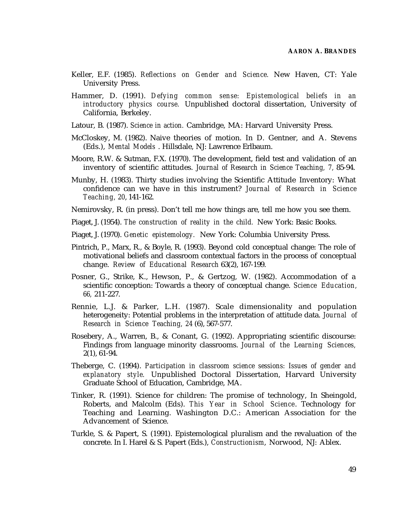- Keller, E.F. (1985). *Reflections on Gender and Science.* New Haven, CT: Yale University Press.
- Hammer, D. (1991). *Defying common sense: Epistemological beliefs in an introductory physics course.* Unpublished doctoral dissertation, University of California, Berkeley.
- Latour, B. (1987). *Science in action.* Cambridge, MA: Harvard University Press.
- McCloskey, M. (1982). Naive theories of motion. In D. Gentner, and A. Stevens (Eds.), *Mental Models* . Hillsdale, NJ: Lawrence Erlbaum.
- Moore, R.W. & Sutman, F.X. (1970). The development, field test and validation of an inventory of scientific attitudes. *Journal of Research in Science Teaching, 7,* 85-94.
- Munby, H. (1983). Thirty studies involving the Scientific Attitude Inventory: What confidence can we have in this instrument? *Journal of Research in Science Teaching, 20*, 141-162.
- Nemirovsky, R. (in press). Don't tell me how things are, tell me how you see them.
- Piaget, J. (1954). *The construction of reality in the child.* New York: Basic Books.
- Piaget, J. (1970). *Genetic epistemology.* New York: Columbia University Press.
- Pintrich, P., Marx, R., & Boyle, R. (1993). Beyond cold conceptual change: The role of motivational beliefs and classroom contextual factors in the process of conceptual change. *Review of Educational Research* 63(2), 167-199.
- Posner, G., Strike, K., Hewson, P., & Gertzog, W. (1982). Accommodation of a scientific conception: Towards a theory of conceptual change. *Science Education, 66,* 211-227.
- Rennie, L.J. & Parker, L.H. (1987). Scale dimensionality and population heterogeneity: Potential problems in the interpretation of attitude data. *Journal of Research in Science Teaching, 24* (6), 567-577.
- Rosebery, A., Warren, B., & Conant, G. (1992). Appropriating scientific discourse: Findings from language minority classrooms. *Journal of the Learning Sciences,* 2(1), 61-94.
- Theberge, C. (1994). *Participation in classroom science sessions: Issues of gender and explanatory style.* Unpublished Doctoral Dissertation, Harvard University Graduate School of Education, Cambridge, MA.
- Tinker, R. (1991). Science for children: The promise of technology, In Sheingold, Roberts, and Malcolm (Eds). *This Year in School Science*. Technology for Teaching and Learning. Washington D.C.: American Association for the Advancement of Science.
- Turkle, S. & Papert, S. (1991). Epistemological pluralism and the revaluation of the concrete. In I. Harel & S. Papert (Eds.), *Constructionism*, Norwood, NJ: Ablex.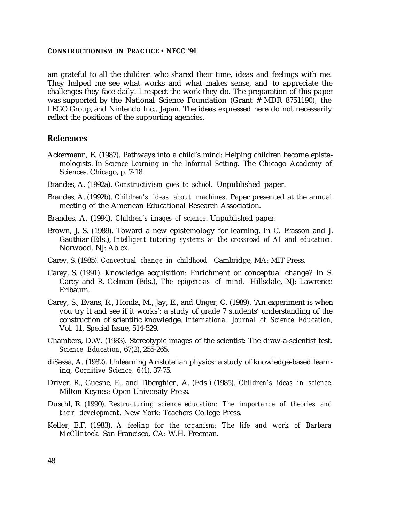am grateful to all the children who shared their time, ideas and feelings with me. They helped me see what works and what makes sense, and to appreciate the challenges they face daily. I respect the work they do. The preparation of this paper was supported by the National Science Foundation (Grant # MDR 8751190), the LEGO Group, and Nintendo Inc., Japan. The ideas expressed here do not necessarily reflect the positions of the supporting agencies.

#### **References**

- Ackermann, E. (1987). Pathways into a child's mind: Helping children become epistemologists. In *Science Learning in the Informal Setting*. The Chicago Academy of Sciences, Chicago, p. 7-18.
- Brandes, A. (1992a). *Constructivism goes to school*. Unpublished paper.
- Brandes, A. (1992b). *Children's ideas about machines*. Paper presented at the annual meeting of the American Educational Research Association.
- Brandes, A. (1994). *Children's images of science*. Unpublished paper.
- Brown, J. S. (1989). Toward a new epistemology for learning. In C. Frasson and J. Gauthiar (Eds.), *Intelligent tutoring systems at the crossroad of AI and education.* Norwood, NJ: Ablex.
- Carey, S. (1985). *Conceptual change in childhood.* Cambridge, MA: MIT Press.
- Carey, S. (1991). Knowledge acquisition: Enrichment or conceptual change? In S. Carey and R. Gelman (Eds.), *The epigenesis of mind.* Hillsdale, NJ: Lawrence Erlbaum.
- Carey, S., Evans, R., Honda, M., Jay, E., and Unger, C. (1989). 'An experiment is when you try it and see if it works': a study of grade 7 students' understanding of the construction of scientific knowledge. *International Journal of Science Education,* Vol. 11, Special Issue, 514-529.
- Chambers, D.W. (1983). Stereotypic images of the scientist: The draw-a-scientist test. *Science Education,* 67(2), 255-265.
- diSessa, A. (1982). Unlearning Aristotelian physics: a study of knowledge-based learning, *Cognitive Science, 6*(1), 37-75.
- Driver, R., Guesne, E., and Tiberghien, A. (Eds.) (1985). *Children's ideas in science.* Milton Keynes: Open University Press.
- Duschl, R. (1990). *Restructuring science education: The importance of theories and their development.* New York: Teachers College Press.
- Keller, E.F. (1983). *A feeling for the organism: The life and work of Barbara McClintock.* San Francisco, CA: W.H. Freeman.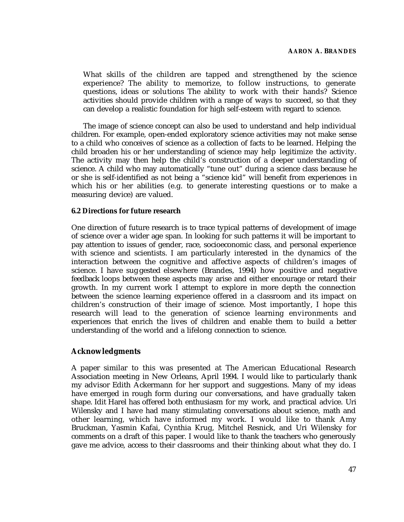What skills of the children are tapped and strengthened by the science experience? The ability to memorize, to follow instructions, to generate questions, ideas or solutions The ability to work with their hands? Science activities should provide children with a range of ways to succeed, so that they can develop a realistic foundation for high self-esteem with regard to science.

The image of science concept can also be used to understand and help individual children. For example, open-ended exploratory science activities may not make sense to a child who conceives of science as a collection of facts to be learned. Helping the child broaden his or her understanding of science may help legitimize the activity. The activity may then help the child's construction of a deeper understanding of science. A child who may automatically "tune out" during a science class because he or she is self-identified as not being a "science kid" will benefit from experiences in which his or her abilities (e.g. to generate interesting questions or to make a measuring device) are valued.

## **6.2 Directions for future research**

One direction of future research is to trace typical patterns of development of image of science over a wider age span. In looking for such patterns it will be important to pay attention to issues of gender, race, socioeconomic class, and personal experience with science and scientists. I am particularly interested in the dynamics of the interaction between the cognitive and affective aspects of children's images of science. I have sug gested elsewhere (Brandes, 1994) how positive and negative feedback loops between these aspects may arise and either encourage or retard their growth. In my current work I attempt to explore in more depth the connection between the science learning experience offered in a classroom and its impact on children's construction of their image of science. Most importantly, I hope this research will lead to the generation of science learning environments and experiences that enrich the lives of children and enable them to build a better understanding of the world and a lifelong connection to science.

# **Acknowledgments**

A paper similar to this was presented at The American Educational Research Association meeting in New Orleans, April 1994. I would like to particularly thank my advisor Edith Ackermann for her support and suggestions. Many of my ideas have emerged in rough form during our conversations, and have gradually taken shape. Idit Harel has offered both enthusiasm for my work, and practical advice. Uri Wilensky and I have had many stimulating conversations about science, math and other learning, which have informed my work. I would like to thank Amy Bruckman, Yasmin Kafai, Cynthia Krug, Mitchel Resnick, and Uri Wilensky for comments on a draft of this paper. I would like to thank the teachers who generously gave me advice, access to their classrooms and their thinking about what they do. I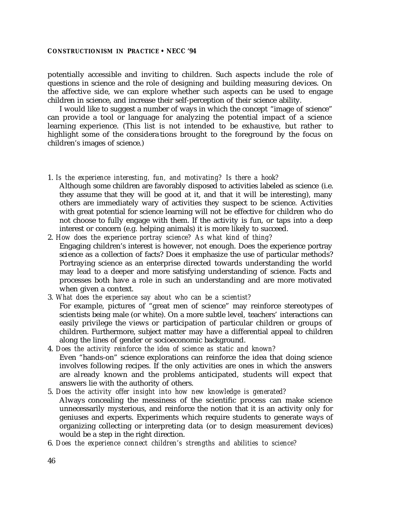potentially accessible and inviting to children. Such aspects include the role of questions in science and the role of designing and building measuring devices. On the affective side, we can explore whether such aspects can be used to engage children in science, and increase their self-perception of their science ability.

I would like to suggest a number of ways in which the concept "image of science" can provide a tool or language for analyzing the potential impact of a science learning experience. (This list is not intended to be exhaustive, but rather to highlight some of the considera tions brought to the foreground by the focus on children's images of science.)

- 1. *Is the experience interesting, fun, and motivating? Is there a hook?*
- Although some children are favorably disposed to activities labeled as science (i.e. they assume that they will be good at it, and that it will be interesting), many others are immediately wary of activities they suspect to be science. Activities with great potential for science learning will not be effective for children who do not choose to fully engage with them. If the activity is fun, or taps into a deep interest or concern (e.g. helping animals) it is more likely to succeed.
- 2. *How does the experience portray science? As what kind of thing?* Engaging children's interest is however, not enough. Does the experience portray science as a collection of facts? Does it emphasize the use of particular methods? Portraying science as an enterprise directed towards understanding the world may lead to a deeper and more satisfying understanding of science. Facts and processes both have a role in such an understanding and are more motivated when given a context.
- 3. *What does the experience say about who can be a scientist?* For example, pictures of "great men of science" may reinforce stereotypes of scientists being male (or white). On a more subtle level, teachers' interactions can easily privilege the views or participation of particular children or groups of children. Furthermore, subject matter may have a differential appeal to children along the lines of gender or socioeconomic background.
- 4. *Does the activity reinforce the idea of science as static and known?* Even "hands-on" science explorations can reinforce the idea that doing science involves following recipes. If the only activities are ones in which the answers are already known and the problems anticipated, students will expect that answers lie with the authority of others.
- 5. *Does the activity offer insight into how new knowledge is generated?* Always concealing the messiness of the scientific process can make science unnecessarily mysterious, and reinforce the notion that it is an activity only for geniuses and experts. Experiments which require students to generate ways of organizing collecting or interpreting data (or to design measurement devices) would be a step in the right direction.
- 6. *Does the experience connect children's strengths and abilities to science?*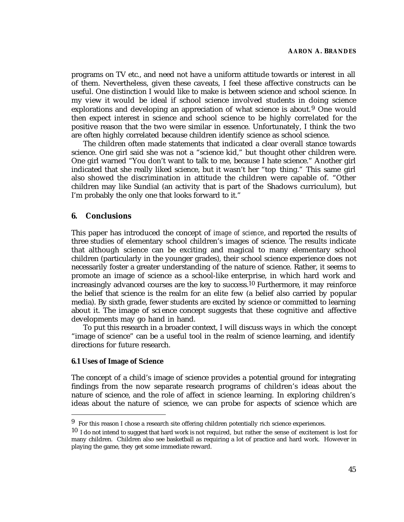programs on TV etc., and need not have a uniform attitude towards or interest in all of them. Nevertheless, given these caveats, I feel these affective constructs can be useful. One distinction I would like to make is between science and school science. In my view it would be ideal if school science involved students in doing science explorations and developing an appreciation of what science is about.<sup>9</sup> One would then expect interest in science and school science to be highly correlated for the positive reason that the two were similar in essence. Unfortunately, I think the two are often highly correlated because children identify science as school science.

The children often made statements that indicated a clear overall stance towards science. One girl said she was not a "science kid," but thought other children were. One girl warned "You don't want to talk to me, because I hate science." Another girl indicated that she really liked science, but it wasn't her "top thing." This same girl also showed the discrimination in attitude the children were capable of. "Other children may like Sundial (an activity that is part of the Shadows curriculum), but I'm probably the only one that looks forward to it."

# **6. Conclusions**

This paper has introduced the concept of *image of science*, and reported the results of three studies of elementary school children's images of science. The results indicate that although science can be exciting and magical to many elementary school children (particularly in the younger grades), their school science experience does not necessarily foster a greater understanding of the nature of science. Rather, it seems to promote an image of science as a school-like enterprise, in which hard work and increasingly advanced courses are the key to success.<sup>10</sup> Furthermore, it may reinforce the belief that science is the realm for an elite few (a belief also carried by popular media). By sixth grade, fewer students are excited by science or committed to learning about it. The image of sci ence concept suggests that these cognitive and affective developments may go hand in hand.

To put this research in a broader context, I will discuss ways in which the concept "image of science" can be a useful tool in the realm of science learning, and identify directions for future research.

# **6.1 Uses of Image of Science**

The concept of a child's image of science provides a potential ground for integrating findings from the now separate research programs of children's ideas about the nature of science, and the role of affect in science learning. In exploring children's ideas about the nature of science, we can probe for aspects of science which are

 $9\;$  For this reason I chose a research site offering children potentially rich science experiences.

 $10$  I do not intend to suggest that hard work is not required, but rather the sense of excitement is lost for many children. Children also see basketball as requiring a lot of practice and hard work. However in playing the game, they get some immediate reward.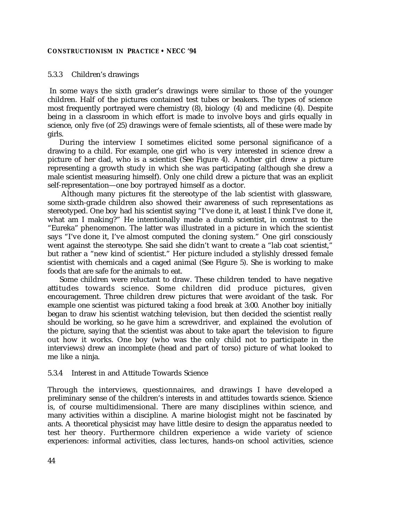#### 5.3.3 Children's drawings

 In some ways the sixth grader's drawings were similar to those of the younger children. Half of the pictures contained test tubes or beakers. The types of science most frequently portrayed were chemistry (8), biology (4) and medicine (4). Despite being in a classroom in which effort is made to involve boys and girls equally in science, only five (of 25) drawings were of female scientists, all of these were made by girls.

During the interview I sometimes elicited some personal significance of a drawing to a child. For example, one girl who is very interested in science drew a picture of her dad, who is a scientist (See Figure 4). Another girl drew a picture representing a growth study in which she was participating (although she drew a male scientist measuring himself). Only one child drew a picture that was an explicit self-representation—one boy portrayed himself as a doctor.

 Although many pictures fit the stereotype of the lab scientist with glassware, some sixth-grade children also showed their awareness of such representations as stereotyped. One boy had his scientist saying "I've done it, at least I think I've done it, what am I making?" He intentionally made a dumb scientist, in contrast to the "Eureka" phenomenon. The latter was illustrated in a picture in which the scientist says "I've done it, I've almost computed the cloning system." One girl consciously went against the stereotype. She said she didn't want to create a "lab coat scientist," but rather a "new kind of scientist." Her picture included a stylishly dressed female scientist with chemicals and a caged animal (See Figure 5). She is working to make foods that are safe for the animals to eat.

Some children were reluctant to draw. These children tended to have negative attitudes towards science. Some children did produce pictures, given encouragement. Three children drew pictures that were avoidant of the task. For example one scientist was pictured taking a food break at 3:00. Another boy initially began to draw his scientist watching television, but then decided the scientist really should be working, so he gave him a screwdriver, and explained the evolution of the picture, saying that the scientist was about to take apart the television to figure out how it works. One boy (who was the only child not to participate in the interviews) drew an incomplete (head and part of torso) picture of what looked to me like a ninja.

## 5.3.4 Interest in and Attitude Towards Science

Through the interviews, questionnaires, and drawings I have developed a preliminary sense of the children's interests in and attitudes towards science. Science is, of course multidimensional. There are many disciplines within science, and many activities within a discipline. A marine biologist might not be fascinated by ants. A theoretical physicist may have little desire to design the apparatus needed to test her theory. Furthermore children experience a wide variety of science experiences: informal activities, class lec tures, hands-on school activities, science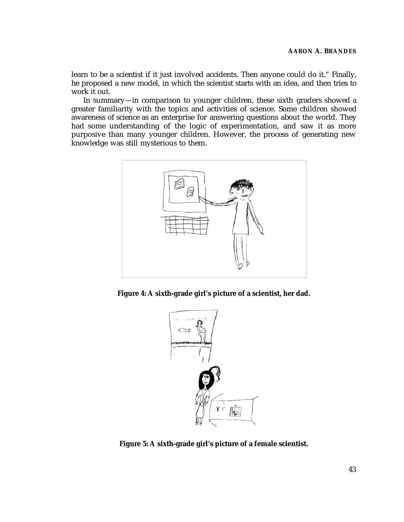learn to be a scientist if it just involved accidents. Then anyone could do it." Finally, he proposed a new model, in which the scientist starts with an idea, and then tries to work it out.

In summary—in comparison to younger children, these sixth graders showed a greater familiarity with the topics and activities of science. Some children showed awareness of science as an enterprise for answering questions about the world. They had some understanding of the logic of experimentation, and saw it as more purposive than many younger children. However, the process of generating new knowledge was still mysterious to them.



**Figure 4: A sixth-grade girl's picture of a scientist, her dad.**



**Figure 5: A sixth-grade girl's picture of a female scientist.**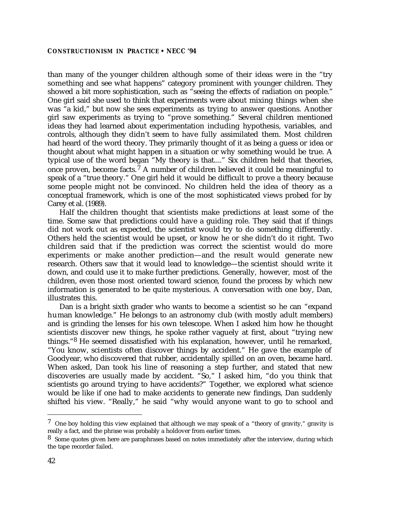than many of the younger children although some of their ideas were in the "try something and see what happens" category prominent with younger children. They showed a bit more sophistication, such as "seeing the effects of radiation on people." One girl said she used to think that experiments were about mixing things when she was "a kid," but now she sees experiments as trying to answer questions. Another girl saw experiments as trying to "prove something." Several children mentioned ideas they had learned about experimentation including hypothesis, variables, and controls, although they didn't seem to have fully assimilated them. Most children had heard of the word theory. They primarily thought of it as being a guess or idea or thought about what might happen in a situation or why something would be true. A typical use of the word began "My theory is that...." Six children held that theories, once proven, become facts.<sup>7</sup> A number of children believed it could be meaningful to speak of a "true theory." One girl held it would be difficult to prove a theory because some people might not be convinced. No children held the idea of theory as a conceptual framework, which is one of the most sophisticated views probed for by Carey et al. (1989).

Half the children thought that scientists make predictions at least some of the time. Some saw that predictions could have a guiding role. They said that if things did not work out as expected, the scientist would try to do something differently. Others held the scientist would be upset, or know he or she didn't do it right. Two children said that if the prediction was correct the scientist would do more experiments or make another prediction—and the result would generate new research. Others saw that it would lead to knowledge—the scientist should write it down, and could use it to make further predictions. Generally, however, most of the children, even those most oriented toward science, found the process by which new information is generated to be quite mysterious. A conversation with one boy, Dan, illustrates this.

Dan is a bright sixth grader who wants to become a scientist so he can "expand human knowledge." He belongs to an astronomy club (with mostly adult members) and is grinding the lenses for his own telescope. When I asked him how he thought scientists discover new things, he spoke rather vaguely at first, about "trying new things."8 He seemed dissatisfied with his explanation, however, until he remarked, "You know, scientists often discover things by accident." He gave the example of Goodyear, who discovered that rubber, accidentally spilled on an oven, became hard. When asked, Dan took his line of reasoning a step further, and stated that new discoveries are usually made by accident. "So," I asked him, "do you think that scientists go around trying to have accidents?" Together, we explored what science would be like if one had to make accidents to generate new findings, Dan suddenly shifted his view. "Really," he said "why would anyone want to go to school and

 $7$  One boy holding this view explained that although we may speak of a "theory of gravity," gravity is really a fact, and the phrase was probably a holdover from earlier times.

<sup>8</sup> Some quotes given here are paraphrases based on notes immediately after the interview, during which the tape recorder failed.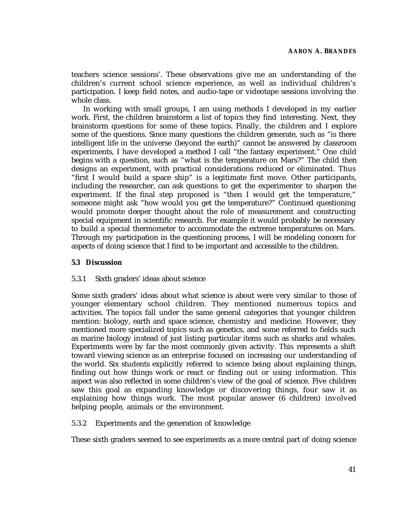teachers science sessions'. These observations give me an understanding of the children's current school science experience, as well as individual children's participation. I keep field notes, and audio-tape or videotape sessions involving the whole class.

In working with small groups, I am using methods I developed in my earlier work. First, the children brainstorm a list of topics they find interesting. Next, they brainstorm questions for some of these topics. Finally, the children and I explore some of the questions. Since many questions the children generate, such as "is there intelligent life in the universe (beyond the earth)" cannot be answered by classroom experiments, I have developed a method I call "the fantasy experiment." One child begins with a question, such as "what is the temperature on Mars?" The child then designs an experiment, with practical considerations reduced or eliminated. Thus "first I would build a space ship" is a legitimate first move. Other participants, including the researcher, can ask questions to get the experimenter to sharpen the experiment. If the final step proposed is "then I would get the temperature," someone might ask "how would you get the temperature?" Continued questioning would promote deeper thought about the role of measurement and constructing special equipment in scientific research. For example it would probably be necessary to build a special thermometer to accommodate the extreme temperatures on Mars. Through my participation in the questioning process, I will be modeling concern for aspects of doing science that I find to be important and accessible to the children.

# **5.3 Discussion**

# 5.3.1 Sixth graders' ideas about science

Some sixth graders' ideas about what science is about were very similar to those of younger elementary school children. They mentioned numerous topics and activities. The topics fall under the same general categories that younger children mention: biology, earth and space science, chemistry and medicine. However, they mentioned more specialized topics such as genetics, and some referred to fields such as marine biology instead of just listing particular items such as sharks and whales. Experiments were by far the most commonly given activity. This represents a shift toward viewing science as an enterprise focused on increasing our understanding of the world. Six students explicitly referred to science being about explaining things, finding out how things work or react or finding out or using information. This aspect was also reflected in some children's view of the goal of science. Five children saw this goal as expanding knowledge or discovering things, four saw it as explaining how things work. The most popular answer (6 children) involved helping people, animals or the environment.

# 5.3.2 Experiments and the generation of knowledge

These sixth graders seemed to see experiments as a more central part of doing science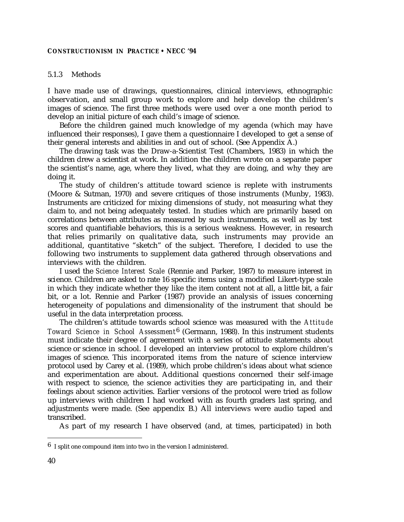## 5.1.3 Methods

I have made use of drawings, questionnaires, clinical interviews, ethnographic observation, and small group work to explore and help develop the children's images of science. The first three methods were used over a one month period to develop an initial picture of each child's image of science.

Before the children gained much knowledge of my agenda (which may have influenced their responses), I gave them a questionnaire I developed to get a sense of their general interests and abilities in and out of school. (See Appendix A.)

The drawing task was the Draw-a-Scientist Test (Chambers, 1983) in which the children drew a scientist at work. In addition the children wrote on a separate paper the scientist's name, age, where they lived, what they are doing, and why they are doing it.

The study of children's attitude toward science is replete with instruments (Moore & Sutman, 1970) and severe critiques of those instruments (Munby, 1983). Instruments are criticized for mixing dimensions of study, not measuring what they claim to, and not being adequately tested. In studies which are primarily based on correlations between attributes as measured by such instruments, as well as by test scores and quantifiable behaviors, this is a serious weakness. However, in research that relies primarily on qualitative data, such instruments may provide an additional, quantitative "sketch" of the subject. Therefore, I decided to use the following two instruments to supplement data gathered through observations and interviews with the children.

I used the *Science Interest Scale* (Rennie and Parker, 1987) to measure interest in science. Children are asked to rate 16 specific items using a modified Likert-type scale in which they indicate whether they like the item content not at all, a little bit, a fair bit, or a lot. Rennie and Parker (1987) provide an analysis of issues concerning heterogeneity of populations and dimensionality of the instrument that should be useful in the data interpretation process.

The children's attitude towards school science was measured with the *Attitude Toward Science in School Assessment*6 (Germann, 1988). In this instrument students must indicate their degree of agreement with a series of attitude statements about science or science in school. I developed an interview protocol to explore children's images of science. This incorporated items from the nature of science interview protocol used by Carey et al. (1989), which probe children's ideas about what science and experimentation are about. Additional questions concerned their self-image with respect to science, the science activities they are participating in, and their feelings about science activities. Earlier versions of the protocol were tried as follow up interviews with children I had worked with as fourth graders last spring, and adjustments were made. (See appendix B.) All interviews were audio taped and transcribed.

As part of my research I have observed (and, at times, participated) in both

 $6$  I split one compound item into two in the version I administered.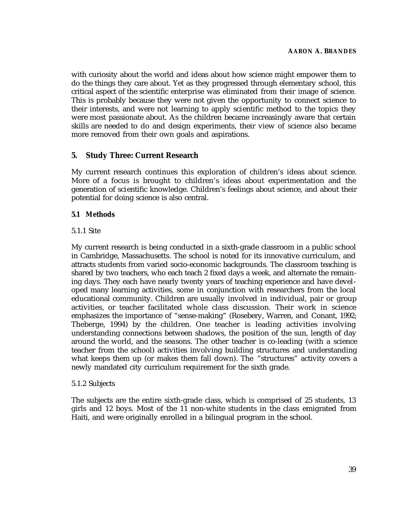with curiosity about the world and ideas about how science might empower them to do the things they care about. Yet as they progressed through elementary school, this critical aspect of the scientific enterprise was eliminated from their image of science. This is probably because they were not given the opportunity to connect science to their interests, and were not learning to apply scientific method to the topics they were most passionate about. As the children became increasingly aware that certain skills are needed to do and design experiments, their view of science also became more removed from their own goals and aspirations.

# **5. Study Three: Current Research**

My current research continues this exploration of children's ideas about science. More of a focus is brought to children's ideas about experimentation and the generation of scientific knowledge. Children's feelings about science, and about their potential for doing science is also central.

# **5.1 Methods**

# 5.1.1 Site

My current research is being conducted in a sixth-grade classroom in a public school in Cambridge, Massachusetts. The school is noted for its innovative curriculum, and attracts students from varied socio-economic backgrounds. The classroom teaching is shared by two teachers, who each teach 2 fixed days a week, and alternate the remaining days. They each have nearly twenty years of teaching experience and have developed many learning activities, some in conjunction with researchers from the local educational community. Children are usually involved in individual, pair or group activities, or teacher facilitated whole class discussion. Their work in science emphasizes the importance of "sense-making" (Rosebery, Warren, and Conant, 1992; Theberge, 1994) by the children. One teacher is leading activities involving understanding connections between shadows, the position of the sun, length of day around the world, and the seasons. The other teacher is co-leading (with a science teacher from the school) activities involving building structures and understanding what keeps them up (or makes them fall down). The "structures" activity covers a newly mandated city curriculum requirement for the sixth grade.

# 5.1.2 Subjects

The subjects are the entire sixth-grade class, which is comprised of 25 students, 13 girls and 12 boys. Most of the 11 non-white students in the class emigrated from Haiti, and were originally enrolled in a bilingual program in the school.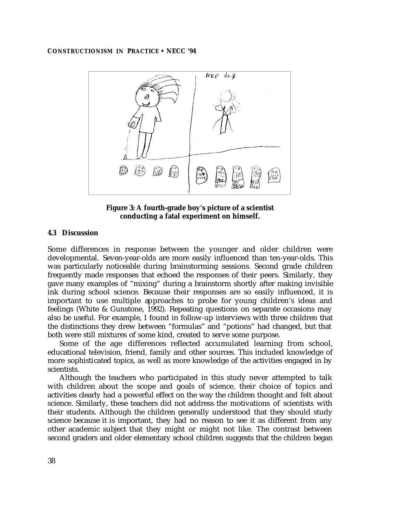

**Figure 3: A fourth-grade boy's picture of a scientist conducting a fatal experiment on himself.**

#### **4.3 Discussion**

Some differences in response between the younger and older children were developmental. Seven-year-olds are more easily influenced than ten-year-olds. This was particularly noticeable during brainstorming sessions. Second grade children frequently made responses that echoed the responses of their peers. Similarly, they gave many examples of "mixing" during a brainstorm shortly after making invisible ink during school science. Because their responses are so easily influenced, it is important to use multiple approaches to probe for young children's ideas and feelings (White & Gunstone, 1992). Repeating questions on separate occasions may also be useful. For example, I found in follow-up interviews with three children that the distinctions they drew between "formulas" and "potions" had changed, but that both were still mixtures of some kind, created to serve some purpose.

Some of the age differences reflected accumulated learning from school, educational television, friend, family and other sources. This included knowledge of more sophisticated topics, as well as more knowledge of the activities engaged in by scientists.

Although the teachers who participated in this study never attempted to talk with children about the scope and goals of science, their choice of topics and activities clearly had a powerful effect on the way the children thought and felt about science. Similarly, these teachers did not address the motivations of scientists with their students. Although the children generally understood that they should study science because it is important, they had no reason to see it as different from any other academic subject that they might or might not like. The contrast between second graders and older elementary school children suggests that the children began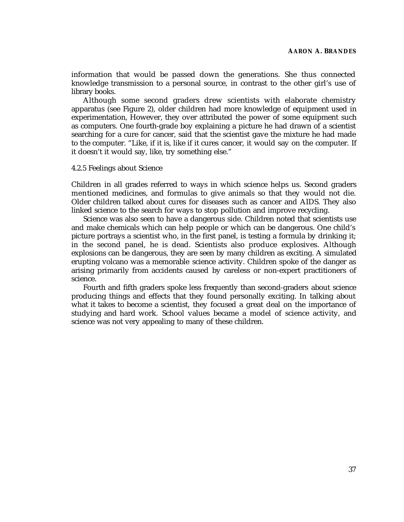information that would be passed down the generations. She thus connected knowledge transmission to a personal source, in contrast to the other girl's use of library books.

Although some second graders drew scientists with elaborate chemistry apparatus (see Figure 2), older children had more knowledge of equipment used in experimentation, However, they over attributed the power of some equipment such as computers. One fourth-grade boy explaining a picture he had drawn of a scientist searching for a cure for cancer, said that the scientist gave the mixture he had made to the computer. "Like, if it is, like if it cures cancer, it would say on the computer. If it doesn't it would say, like, try something else."

#### 4.2.5 Feelings about Science

Children in all grades referred to ways in which science helps us. Second graders mentioned medicines, and formulas to give animals so that they would not die. Older children talked about cures for diseases such as cancer and AIDS. They also linked science to the search for ways to stop pollution and improve recycling.

Science was also seen to have a dangerous side. Children noted that scientists use and make chemicals which can help people or which can be dangerous. One child's picture portrays a scientist who, in the first panel, is testing a formula by drinking it; in the second panel, he is dead. Scientists also produce explosives. Although explosions can be dangerous, they are seen by many children as exciting. A simulated erupting volcano was a memorable science activity. Children spoke of the danger as arising primarily from accidents caused by careless or non-expert practitioners of science.

Fourth and fifth graders spoke less frequently than second-graders about science producing things and effects that they found personally exciting. In talking about what it takes to become a scientist, they focused a great deal on the importance of studying and hard work. School values became a model of science activity, and science was not very appealing to many of these children.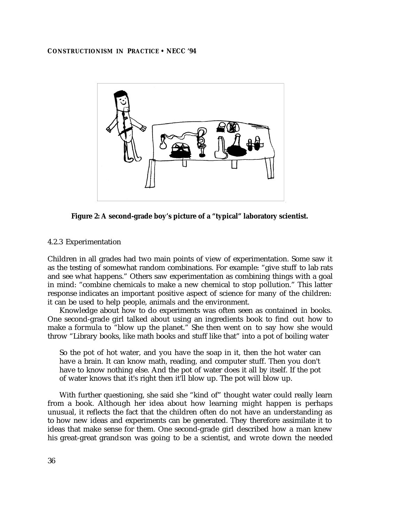

**Figure 2: A second-grade boy's picture of a "typical" laboratory scientist.**

# 4.2.3 Experimentation

Children in all grades had two main points of view of experimentation. Some saw it as the testing of somewhat random combinations. For example: "give stuff to lab rats and see what happens." Others saw experimentation as combining things with a goal in mind: "combine chemicals to make a new chemical to stop pollution." This latter response indicates an important positive aspect of science for many of the children: it can be used to help people, animals and the environment.

Knowledge about how to do experiments was often seen as contained in books. One second-grade girl talked about using an ingredients book to find out how to make a formula to "blow up the planet." She then went on to say how she would throw "Library books, like math books and stuff like that" into a pot of boiling water

So the pot of hot water, and you have the soap in it, then the hot water can have a brain. It can know math, reading, and computer stuff. Then you don't have to know nothing else. And the pot of water does it all by itself. If the pot of water knows that it's right then it'll blow up. The pot will blow up.

With further questioning, she said she "kind of" thought water could really learn from a book. Although her idea about how learning might happen is perhaps unusual, it reflects the fact that the children often do not have an understanding as to how new ideas and experiments can be generated. They therefore assimilate it to ideas that make sense for them. One second-grade girl described how a man knew his great-great grandson was going to be a scientist, and wrote down the needed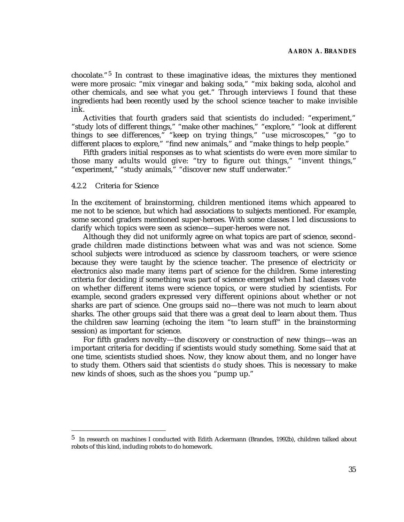chocolate."5 In contrast to these imaginative ideas, the mixtures they mentioned were more prosaic: "mix vinegar and baking soda," "mix baking soda, alcohol and other chemicals, and see what you get." Through interviews I found that these ingredients had been recently used by the school science teacher to make invisible ink.

Activities that fourth graders said that scientists do included: "experiment," "study lots of different things," "make other machines," "explore," "look at different things to see differences," "keep on trying things," "use microscopes," "go to different places to explore," "find new animals," and "make things to help people."

Fifth graders initial responses as to what scientists do were even more similar to those many adults would give: "try to figure out things," "invent things," "experiment," "study animals," "discover new stuff underwater."

#### 4.2.2 Criteria for Science

In the excitement of brainstorming, children mentioned items which appeared to me not to be science, but which had associations to subjects mentioned. For example, some second graders mentioned super-heroes. With some classes I led discussions to clarify which topics were seen as science—super-heroes were not.

Although they did not uniformly agree on what topics are part of science, secondgrade children made distinctions between what was and was not science. Some school subjects were introduced as science by classroom teachers, or were science because they were taught by the science teacher. The presence of electricity or electronics also made many items part of science for the children. Some interesting criteria for deciding if something was part of science emerged when I had classes vote on whether different items were science topics, or were studied by scientists. For example, second graders expressed very different opinions about whether or not sharks are part of science. One groups said no—there was not much to learn about sharks. The other groups said that there was a great deal to learn about them. Thus the children saw learning (echoing the item "to learn stuff" in the brainstorming session) as important for science.

For fifth graders novelty—the discovery or construction of new things—was an important criteria for deciding if scientists would study something. Some said that at one time, scientists studied shoes. Now, they know about them, and no longer have to study them. Others said that scientists *d o* study shoes. This is necessary to make new kinds of shoes, such as the shoes you "pump up."

<sup>5</sup> In research on machines I conducted with Edith Ackermann (Brandes, 1992b), children talked about robots of this kind, including robots to do homework.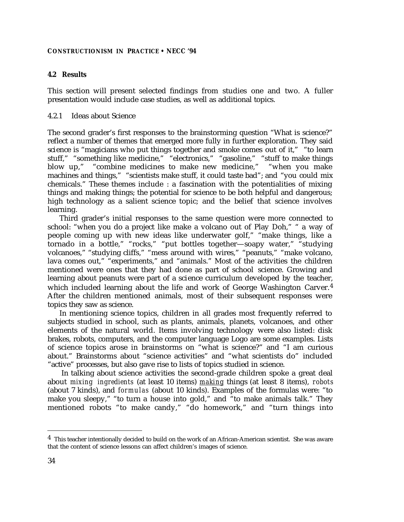# **4.2 Results**

This section will present selected findings from studies one and two. A fuller presentation would include case studies, as well as additional topics.

#### 4.2.1 Ideas about Science

The second grader's first responses to the brainstorming question "What is science?" reflect a number of themes that emerged more fully in further exploration. They said science is "magicians who put things together and smoke comes out of it," "to learn stuff," "something like medicine," "electronics," "gasoline," "stuff to make things blow up," "combine medicines to make new medicine," "when you make machines and things," "scientists make stuff, it could taste bad"; and "you could mix chemicals." These themes include : a fascination with the potentialities of mixing things and making things; the potential for science to be both helpful and dangerous; high technology as a salient science topic; and the belief that science involves learning.

Third grader's initial responses to the same question were more connected to school: "when you do a project like make a volcano out of Play Doh," " a way of people coming up with new ideas like underwater golf," "make things, like a tornado in a bottle," "rocks," "put bottles together—soapy water," "studying volcanoes," "studying cliffs," "mess around with wires," "peanuts," "make volcano, lava comes out," "experiments," and "animals." Most of the activities the children mentioned were ones that they had done as part of school science. Growing and learning about peanuts were part of a science curriculum developed by the teacher, which included learning about the life and work of George Washington Carver.<sup>4</sup> After the children mentioned animals, most of their subsequent responses were topics they saw as science.

In mentioning science topics, children in all grades most frequently referred to subjects studied in school, such as plants, animals, planets, volcanoes, and other elements of the natural world. Items involving technology were also listed: disk brakes, robots, computers, and the computer language Logo are some examples. Lists of science topics arose in brainstorms on "what is science?" and "I am curious about." Brainstorms about "science activities" and "what scientists do" included "active" processes, but also gave rise to lists of topics studied in science.

 In talking about science activities the second-grade children spoke a great deal about *mixing ingredients* (at least 10 items) *making* things (at least 8 items), *robots* (about 7 kinds), and *formulas* (about 10 kinds). Examples of the formulas were: "to make you sleepy," "to turn a house into gold," and "to make animals talk." They mentioned robots "to make candy," "do homework," and "turn things into

<sup>4</sup> This teacher intentionally decided to build on the work of an African-American scientist. She was aware that the content of science lessons can affect children's images of science.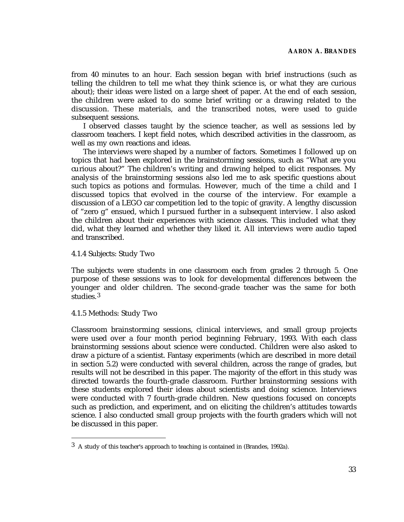from 40 minutes to an hour. Each session began with brief instructions (such as telling the children to tell me what they think science is, or what they are curious about); their ideas were listed on a large sheet of paper. At the end of each session, the children were asked to do some brief writing or a drawing related to the discussion. These materials, and the transcribed notes, were used to guide subsequent sessions.

I observed classes taught by the science teacher, as well as sessions led by classroom teachers. I kept field notes, which described activities in the classroom, as well as my own reactions and ideas.

The interviews were shaped by a number of factors. Sometimes I followed up on topics that had been explored in the brainstorming sessions, such as "What are you curious about?" The children's writing and drawing helped to elicit responses. My analysis of the brainstorming sessions also led me to ask specific questions about such topics as potions and formulas. However, much of the time a child and I discussed topics that evolved in the course of the interview. For example a discussion of a LEGO car competition led to the topic of gravity. A lengthy discussion of "zero g" ensued, which I pursued further in a subsequent interview. I also asked the children about their experiences with science classes. This included what they did, what they learned and whether they liked it. All interviews were audio taped and transcribed.

## 4.1.4 Subjects: Study Two

The subjects were students in one classroom each from grades 2 through 5. One purpose of these sessions was to look for developmental differences between the younger and older children. The second-grade teacher was the same for both studies.3

#### 4.1.5 Methods: Study Two

Classroom brainstorming sessions, clinical interviews, and small group projects were used over a four month period beginning February, 1993. With each class brainstorming sessions about science were conducted. Children were also asked to draw a picture of a scientist. Fantasy experiments (which are described in more detail in section 5.2) were conducted with several children, across the range of grades, but results will not be described in this paper. The majority of the effort in this study was directed towards the fourth-grade classroom. Further brainstorming sessions with these students explored their ideas about scientists and doing science. Interviews were conducted with 7 fourth-grade children. New questions focused on concepts such as prediction, and experiment, and on eliciting the children's attitudes towards science. I also conducted small group projects with the fourth graders which will not be discussed in this paper.

<sup>3</sup> A study of this teacher's approach to teaching is contained in (Brandes, 1992a).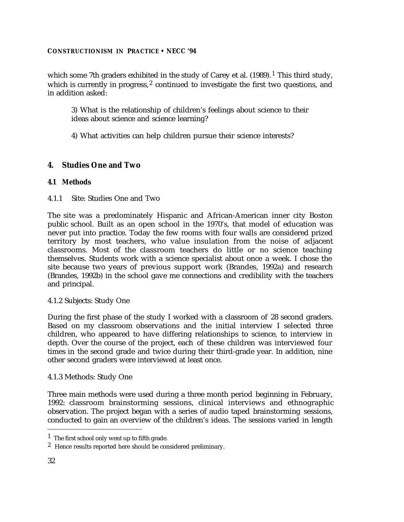which some 7th graders exhibited in the study of Carey et al.  $(1989)$ .<sup>1</sup> This third study, which is currently in progress, $2$  continued to investigate the first two questions, and in addition asked:

3) What is the relationship of children's feelings about science to their ideas about science and science learning?

4) What activities can help children pursue their science interests?

# **4. Studies One and Two**

# **4.1 Methods**

4.1.1 Site: Studies One and Two

The site was a predominately Hispanic and African-American inner city Boston public school. Built as an open school in the 1970's, that model of education was never put into practice. Today the few rooms with four walls are considered prized territory by most teachers, who value insulation from the noise of adjacent classrooms. Most of the classroom teachers do little or no science teaching themselves. Students work with a science specialist about once a week. I chose the site because two years of previous support work (Brandes, 1992a) and research (Brandes, 1992b) in the school gave me connections and credibility with the teachers and principal.

# 4.1.2 Subjects: Study One

During the first phase of the study I worked with a classroom of 28 second graders. Based on my classroom observations and the initial interview I selected three children, who appeared to have differing relationships to science, to interview in depth. Over the course of the project, each of these children was interviewed four times in the second grade and twice during their third-grade year. In addition, nine other second graders were interviewed at least once.

# 4.1.3 Methods: Study One

Three main methods were used during a three month period beginning in February, 1992: classroom brainstorming sessions, clinical interviews and ethnographic observation. The project began with a series of audio taped brainstorming sessions, conducted to gain an overview of the children's ideas. The sessions varied in length

<sup>1</sup> The first school only went up to fifth grade.

<sup>2</sup> Hence results reported here should be considered preliminary.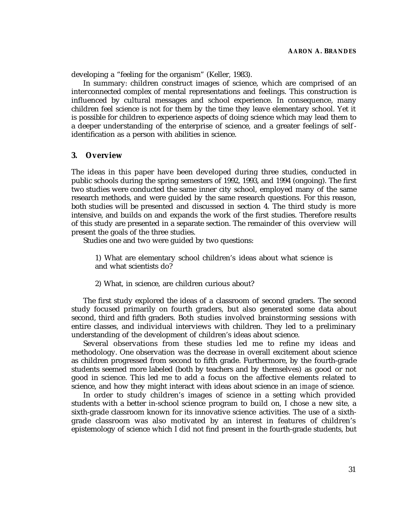developing a "feeling for the organism" (Keller, 1983).

In summary: children construct images of science, which are comprised of an interconnected complex of mental representations and feelings. This construction is influenced by cultural messages and school experience. In consequence, many children feel science is not for them by the time they leave elementary school. Yet it is possible for children to experience aspects of doing science which may lead them to a deeper understanding of the enterprise of science, and a greater feelings of self identification as a person with abilities in science.

## **3. Overview**

The ideas in this paper have been developed during three studies, conducted in public schools during the spring semesters of 1992, 1993, and 1994 (ongoing). The first two studies were conducted the same inner city school, employed many of the same research methods, and were guided by the same research questions. For this reason, both studies will be presented and discussed in section 4. The third study is more intensive, and builds on and expands the work of the first studies. Therefore results of this study are presented in a separate section. The remainder of this overview will present the goals of the three studies.

Studies one and two were guided by two questions:

1) What are elementary school children's ideas about what science is and what scientists do?

2) What, in science, are children curious about?

The first study explored the ideas of a classroom of second graders. The second study focused primarily on fourth graders, but also generated some data about second, third and fifth graders. Both studies involved brainstorming sessions with entire classes, and individual interviews with children. They led to a preliminary understanding of the development of children's ideas about science.

Several observations from these studies led me to refine my ideas and methodology. One observation was the decrease in overall excitement about science as children progressed from second to fifth grade. Furthermore, by the fourth-grade students seemed more labeled (both by teachers and by themselves) as good or not good in science. This led me to add a focus on the affective elements related to science, and how they might interact with ideas about science in an *image* of science.

In order to study children's images of science in a setting which provided students with a better in-school science program to build on, I chose a new site, a sixth-grade classroom known for its innovative science activities. The use of a sixthgrade classroom was also motivated by an interest in features of children's epistemology of science which I did not find present in the fourth-grade students, but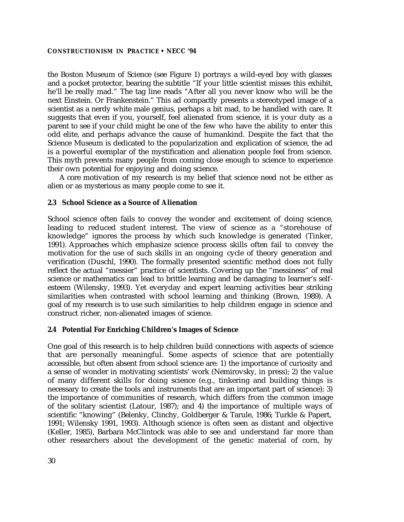the Boston Museum of Science (see Figure 1) portrays a wild-eyed boy with glasses and a pocket protector, bearing the subtitle "If your little scientist misses this exhibit, he'll be really mad." The tag line reads "After all you never know who will be the next Einstein. Or Frankenstein." This ad compactly presents a stereotyped image of a scientist as a nerdy white male genius, perhaps a bit mad, to be handled with care. It suggests that even if you, yourself, feel alienated from science, it is your duty as a parent to see if your child might be one of the few who have the ability to enter this odd elite, and perhaps advance the cause of humankind. Despite the fact that the Science Museum is dedicated to the popularization and explication of science, the ad is a powerful exemplar of the mystification and alienation people feel from science. This myth prevents many people from coming close enough to science to experience their own potential for enjoying and doing science.

A core motivation of my research is my belief that science need not be either as alien or as mysterious as many people come to see it.

# **2.3 School Science as a Source of Alienation**

School science often fails to convey the wonder and excitement of doing science, leading to reduced student interest. The view of science as a "storehouse of knowledge" ignores the process by which such knowledge is generated (Tinker, 1991). Approaches which emphasize science process skills often fail to convey the motivation for the use of such skills in an ongoing cycle of theory generation and verification (Duschl, 1990). The formally presented scientific method does not fully reflect the actual "messier" practice of scientists. Covering up the "messiness" of real science or mathematics can lead to brittle learning and be damaging to learner's selfesteem (Wilensky, 1993). Yet everyday and expert learning activities bear striking similarities when contrasted with school learning and thinking (Brown, 1989). A goal of my research is to use such similarities to help children engage in science and construct richer, non-alienated images of science.

# **2.4 Potential For Enriching Children's Images of Science**

One goal of this research is to help children build connections with aspects of science that are personally meaningful. Some aspects of science that are potentially accessible, but often absent from school science are: 1) the importance of curiosity and a sense of wonder in motivating scientists' work (Nemirovsky, in press); 2) the value of many different skills for doing science (e.g., tinkering and building things is necessary to create the tools and instruments that are an important part of science); 3) the importance of communities of research, which differs from the common image of the solitary scientist (Latour, 1987); and 4) the importance of multiple ways of scientific "knowing" (Belenky, Clinchy, Goldberger & Tarule, 1986; Turkle & Papert, 1991; Wilensky 1991, 1993). Although science is often seen as distant and objective (Keller, 1985), Barbara McClintock was able to see and understand far more than other researchers about the development of the genetic material of corn, by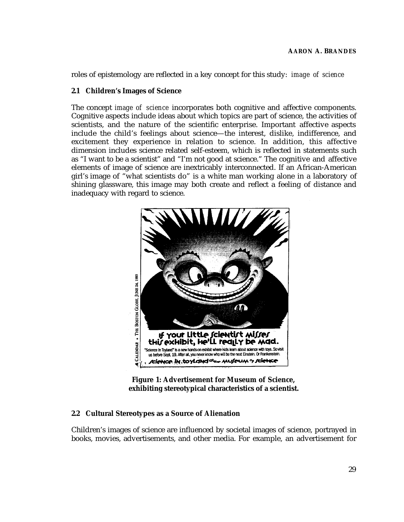roles of epistemology are reflected in a key concept for this study: *image of science*

## **2.1 Children's Images of Science**

The concept *image of science* incorporates both cognitive and affective components. Cognitive aspects include ideas about which topics are part of science, the activities of scientists, and the nature of the scientific enterprise. Important affective aspects include the child's feelings about science—the interest, dislike, indifference, and excitement they experience in relation to science. In addition, this affective dimension includes science related self-esteem, which is reflected in statements such as "I want to be a scientist" and "I'm not good at science." The cognitive and affective elements of image of science are inextricably interconnected. If an African-American girl's image of "what scientists do" is a white man working alone in a laboratory of shining glassware, this image may both create and reflect a feeling of distance and inadequacy with regard to science.



**Figure 1: Advertisement for Museum of Science, exhibiting stereotypical characteristics of a scientist.**

# **2.2 Cultural Stereotypes as a Source of Alienation**

Children's images of science are influenced by societal images of science, portrayed in books, movies, advertisements, and other media. For example, an advertisement for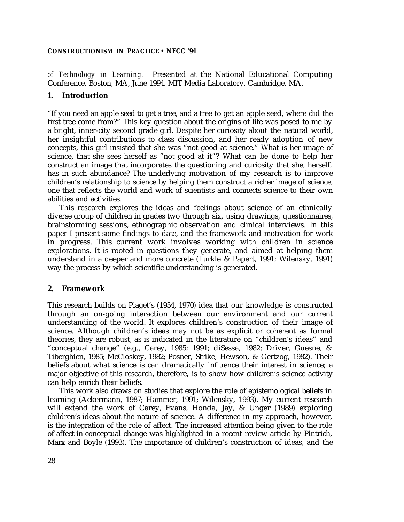*of Technology in Learning.* Presented at the National Educational Computing Conference, Boston, MA, June 1994. MIT Media Laboratory, Cambridge, MA.

# **1. Introduction**

"If you need an apple seed to get a tree, and a tree to get an apple seed, where did the first tree come from?" This key question about the origins of life was posed to me by a bright, inner-city second grade girl. Despite her curiosity about the natural world, her insightful contributions to class discussion, and her ready adoption of new concepts, this girl insisted that she was "not good at science." What is her image of science, that she sees herself as "not good at it"? What can be done to help her construct an image that incorporates the questioning and curiosity that she, herself, has in such abundance? The underlying motivation of my research is to improve children's relationship to science by helping them construct a richer image of science, one that reflects the world and work of scientists and connects science to their own abilities and activities.

This research explores the ideas and feelings about science of an ethnically diverse group of children in grades two through six, using drawings, questionnaires, brainstorming sessions, ethnographic observation and clinical interviews. In this paper I present some findings to date, and the framework and motivation for work in progress. This current work involves working with children in science explorations. It is rooted in questions they generate, and aimed at helping them understand in a deeper and more concrete (Turkle & Papert, 1991; Wilensky, 1991) way the process by which scientific understanding is generated.

#### **2. Framework**

This research builds on Piaget's (1954, 1970) idea that our knowledge is constructed through an on-going interaction between our environment and our current understanding of the world. It explores children's construction of their image of science. Although children's ideas may not be as explicit or coherent as formal theories, they are robust, as is indicated in the literature on "children's ideas" and "conceptual change" (e.g., Carey, 1985; 1991; diSessa, 1982; Driver, Guesne, & Tiberghien, 1985; McCloskey, 1982; Posner, Strike, Hewson, & Gertzog, 1982). Their beliefs about what science is can dramatically influence their interest in science; a major objective of this research, therefore, is to show how children's science activity can help enrich their beliefs.

This work also draws on studies that explore the role of epistemological beliefs in learning (Ackermann, 1987; Hammer, 1991; Wilensky, 1993). My current research will extend the work of Carey, Evans, Honda, Jay, & Unger (1989) exploring children's ideas about the nature of science. A difference in my approach, however, is the integration of the role of affect. The increased attention being given to the role of affect in conceptual change was highlighted in a recent review article by Pintrich, Marx and Boyle (1993). The importance of children's construction of ideas, and the